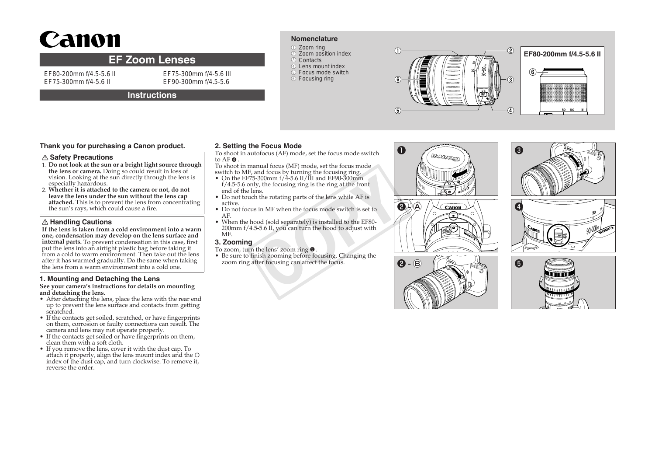# Canon

# **EF Zoom Lenses**

EF80-200mm f/4.5-5.6 II EF75-300mm f/4-5.6 II

EF75-300mm f/4-5.6 III EF90-300mm f/4.5-5.6

# **Instructions**

# **Nomenclature**

- ●① Zoom ring 2 Zoom position index 3 Contacts
- 4) Lens mount index ●⑤ Focus mode switch
- $<sup>6</sup>$  Focusing ring</sup>



# **Thank you for purchasing a Canon product.**

## **Safety Precautions**

- 1. **Do not look at the sun or a bright light source through the lens or camera.** Doing so could result in loss of vision. Looking at the sun directly through the lens is especially hazardous.
- 2. **Whether it is attached to the camera or not, do not leave the lens under the sun without the lens cap attached.** This is to prevent the lens from concentrating the sun's rays, which could cause a fire.

# **Handling Cautions**

**If the lens is taken from a cold environment into a warm one, condensation may develop on the lens surface and internal parts.** To prevent condensation in this case, first put the lens into an airtight plastic bag before taking it from a cold to warm environment. Then take out the lens after it has warmed gradually. Do the same when taking the lens from a warm environment into a cold one.

# **1. Mounting and Detaching the Lens**

#### **See your camera's instructions for details on mounting and detaching the lens.**

- After detaching the lens, place the lens with the rear end up to prevent the lens surface and contacts from getting scratched.
- If the contacts get soiled, scratched, or have fingerprints on them, corrosion or faulty connections can result. The camera and lens may not operate properly.
- If the contacts get soiled or have fingerprints on them, clean them with a soft cloth.
- If you remove the lens, cover it with the dust cap. To attach it properly, align the lens mount index and the index of the dust cap, and turn clockwise. To remove it, reverse the order.

## **2. Setting the Focus Mode**

- To shoot in autofocus (AF) mode, set the focus mode switch to AF ❹ .
- To shoot in manual focus (MF) mode, set the focus mode switch to MF, and focus by turning the focusing ring.
- On the EF75-300mm  $f/4$ -5.6 II/III and EF90-300mm f/4.5-5.6 only, the focusing ring is the ring at the front end of the lens.
- Do not touch the rotating parts of the lens while AF is active.
- Do not focus in MF when the focus mode switch is set to AF.
- When the hood (sold separately) is installed to the EF80- 200mm f/4.5-5.6 II, you can turn the hood to adjust with MF. 3-300mm f/4-5.6 II/III and EF90-300mm<br>3-300mm f/4-5.6 II/III and EF90-300mm<br>hy, the focusing ring is the ring at the front<br>ms.<br>the rotating parts of the lens while AF is<br>s in MF when the focus mode switch is set to<br>cood (s

## **3. Zooming**

- To zoom, turn the lens' zoom ring ❺ .
- Be sure to finish zooming before focusing. Changing the zoom ring after focusing can affect the focus.